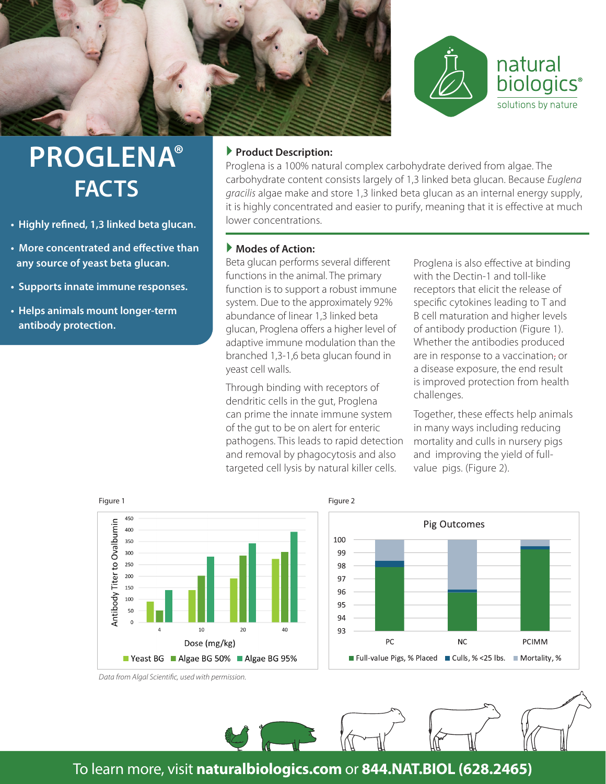



## **PROGLENA® FACTS**

- **• Highly refined, 1,3 linked beta glucan.**
- **• More concentrated and effective than any source of yeast beta glucan.**
- **• Supports innate immune responses.**
- **• Helps animals mount longer-term antibody protection.**

### **Product Description:**

Proglena is a 100% natural complex carbohydrate derived from algae. The carbohydrate content consists largely of 1,3 linked beta glucan. Because *Euglena gracilis* algae make and store 1,3 linked beta glucan as an internal energy supply, it is highly concentrated and easier to purify, meaning that it is effective at much lower concentrations.

#### **Modes of Action:**

Beta glucan performs several different functions in the animal. The primary function is to support a robust immune system. Due to the approximately 92% abundance of linear 1,3 linked beta glucan, Proglena offers a higher level of adaptive immune modulation than the branched 1,3-1,6 beta glucan found in yeast cell walls.

Through binding with receptors of dendritic cells in the gut, Proglena can prime the innate immune system of the gut to be on alert for enteric pathogens. This leads to rapid detection and removal by phagocytosis and also targeted cell lysis by natural killer cells.

Proglena is also effective at binding with the Dectin-1 and toll-like receptors that elicit the release of specific cytokines leading to T and B cell maturation and higher levels of antibody production (Figure 1). Whether the antibodies produced are in response to a vaccination, or a disease exposure, the end result is improved protection from health challenges.

Together, these effects help animals in many ways including reducing mortality and culls in nursery pigs and improving the yield of fullvalue pigs. (Figure 2).



*Data from Algal Scientific, used with permission.*





## To learn more, visit **naturalbiologics.com** or **844.NAT.BIOL (628.2465)**